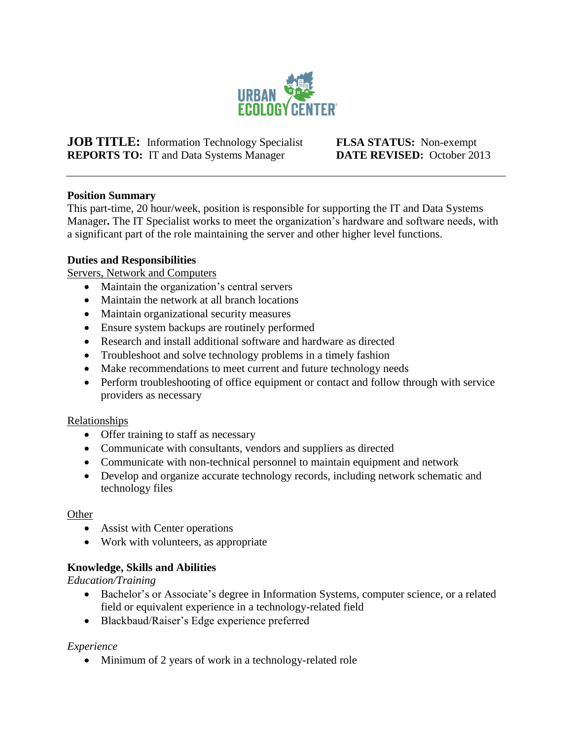

**JOB TITLE:** Information Technology Specialist **FLSA STATUS:** Non-exempt **REPORTS TO:** IT and Data Systems Manager **DATE REVISED:** October 2013

### **Position Summary**

This part-time, 20 hour/week, position is responsible for supporting the IT and Data Systems Manager**.** The IT Specialist works to meet the organization's hardware and software needs, with a significant part of the role maintaining the server and other higher level functions.

# **Duties and Responsibilities**

Servers, Network and Computers

- Maintain the organization's central servers
- Maintain the network at all branch locations
- Maintain organizational security measures
- Ensure system backups are routinely performed
- Research and install additional software and hardware as directed
- Troubleshoot and solve technology problems in a timely fashion
- Make recommendations to meet current and future technology needs
- Perform troubleshooting of office equipment or contact and follow through with service providers as necessary

#### Relationships

- Offer training to staff as necessary
- Communicate with consultants, vendors and suppliers as directed
- Communicate with non-technical personnel to maintain equipment and network
- Develop and organize accurate technology records, including network schematic and technology files

#### **Other**

- Assist with Center operations
- Work with volunteers, as appropriate

# **Knowledge, Skills and Abilities**

*Education/Training*

- Bachelor's or Associate's degree in Information Systems, computer science, or a related field or equivalent experience in a technology-related field
- Blackbaud/Raiser's Edge experience preferred

*Experience*

• Minimum of 2 years of work in a technology-related role